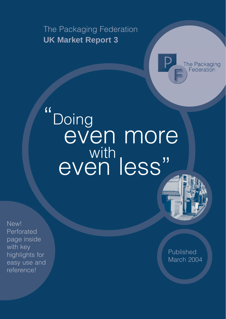The Packaging Federation **UK Market Report 3**



# $\blacksquare$ Doing even more with less"

New! Perforated page inside with key highlights for easy use and reference!

Published March 2004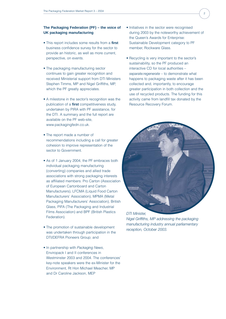# **The Packaging Federation (PF) – the voice of UK packaging manufacturing**

- This report includes some results from a **first** business confidence survey for the sector to provide an historic, as well as more current, perspective, on events.
- The packaging manufacturing sector continues to gain greater recognition and received Ministerial support from DTI Ministers Stephen Timms, MP and Nigel Griffiths, MP, which the PF greatly appreciates.
- A milestone in the sector's recognition was the publication of a **first** competitiveness study, undertaken by PIRA with PF assistance, for the DTI. A summary and the full report are available on the PF web-site, www.packagingfedn.co.uk.
- The report made a number of recommendations including a call for greater cohesion to improve representation of the sector to Government.
- As of 1 January 2004, the PF embraces both individual packaging manufacturing (converting) companies and allied trade associations with strong packaging interests as affiliated members: Pro Carton (Association of European Cartonboard and Carton Manufacturers), LFCMA (Liquid Food Carton Manufacturers' Association), MPMA (Metal Packaging Manufacturers' Association), British Glass, PIFA (The Packaging and Industrial Films Association) and BPF (British Plastics Federation).
- The promotion of sustainable development was undertaken through participation in the DTI/DEFRA Pioneers Group; and
- In partnership with *Packaging News*, Enviropack I and II conferences in Westminster 2003 and 2004. The conferences' key-note speakers were the ex-Minister for the Environment, Rt Hon Michael Meacher, MP and Dr Caroline Jackson, MEP
- Initiatives in the sector were recognised during 2003 by the noteworthy achievement of the Queen's Awards for Enterprise: Sustainable Development category to PF member, Rockware Glass.
- Recycling is very important to the sector's sustainability, so the PF produced an interactive CD for local authorities – *separate:regenerate* – to demonstrate what happens to packaging waste after it has been collected and, importantly, to encourage greater participation in both collection and the use of recycled products. The funding for this activity came from landfill tax donated by the Resource Recovery Forum.



*Nigel Griffiths, MP addressing the packaging manufacturing industry annual parliamentary reception, October 2003.*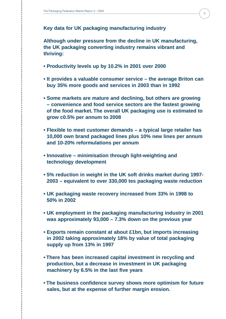**Key data for UK packaging manufacturing industry**

**Although under pressure from the decline in UK manufacturing, the UK packaging converting industry remains vibrant and thriving:**

- **Productivity levels up by 10.2% in 2001 over 2000**
- **It provides a valuable consumer service the average Briton can buy 35% more goods and services in 2003 than in 1992**
- **Some markets are mature and declining, but others are growing – convenience and food service sectors are the fastest growing of the food market. The overall UK packaging use is estimated to grow c0.5% per annum to 2008**
- **Flexible to meet customer demands a typical large retailer has 10,000 own brand packaged lines plus 10% new lines per annum and 10-20% reformulations per annum**
- **Innovative minimisation through light-weighting and technology development**
- **5% reduction in weight in the UK soft drinks market during 1997- 2003 – equivalent to over 330,000 tes packaging waste reduction**
- **UK packaging waste recovery increased from 33% in 1998 to 50% in 2002**
- **UK employment in the packaging manufacturing industry in 2001 was approximately 93,000 – 7.3% down on the previous year**
- **Exports remain constant at about £1bn, but imports increasing in 2002 taking approximately 18% by value of total packaging supply up from 13% in 1997**
- **There has been increased capital investment in recycling and production, but a decrease in investment in UK packaging machinery by 6.5% in the last five years**
- **The business confidence survey shows more optimism for future sales, but at the expense of further margin erosion.**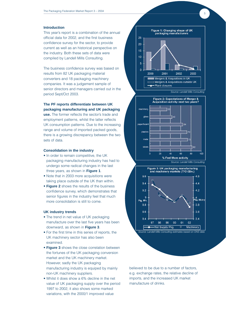# **Introduction**

This year's report is a combination of the annual official data for 2002, and the first business confidence survey for the sector, to provide current as well as an historical perspective on the industry. Both these sets of data were compiled by Landell Mills Consulting.

The business confidence survey was based on results from 82 UK packaging material converters and 18 packaging machinery companies. It was a judgement sample of senior directors and managers carried out in the period Sept/Oct 2003.

# **The PF reports differentiate between UK packaging manufacturing and UK packaging**

**use.** The former reflects the sector's trade and employment patterns, whilst the latter reflects UK consumption patterns. Due to the increasing range and volume of imported packed goods, there is a growing discrepancy between the two sets of data.

# **Consolidation in the industry**

- In order to remain competitive, the UK packaging manufacturing industry has had to undergo some radical changes in the last three years, as shown in **Figure 1**.
- Note that in 2003 more acquisitions were taking place outside of the UK than within.
- **Figure 2** shows the results of the business confidence survey, which demonstrates that senior figures in the industry feel that much more consolidation is still to come.

## **UK industry trends**

- The trend in net value of UK packaging manufacture over the last five years has been downward, as shown in **Figure 3**.
- For the first time in this series of reports, the UK machinery sector has also been examined.
- **Figure 3** shows the close correlation between the fortunes of the UK packaging conversion market and the UK machinery market. However, sadly the UK packaging manufacturing industry is equiped by mainly non-UK machinery suppliers.
- Whilst it does show a 6% decline in the net value of UK packaging supply over the period 1997 to 2002, it also shows some marked variations, with the 2000/1 improved value



*Source: Landell Mills Consulting*







believed to be due to a number of factors, e.g. exchange rates, the relative decline of imports, and the increased UK market manufacture of drinks.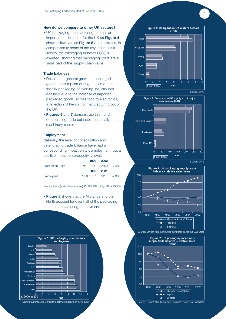# **How do we compare to other UK sectors?**

• UK packaging manufacturing remains an important trade sector for the UK as **Figure 4** shows. However, as **Figure 5** demonstrates, in comparison to some of the key industries it serves, the packaging turnover (T/O) is dwarfed, showing that packaging costs are a small part of the supply chain value.

# **Trade balances**

- Despite the general growth in packaged goods consumption during the same period, the UK packaging converting industry has declined due to the increase of imported packaged goods, across food to electronics, a reflection of the shift of manufacturing out of the UK.
- **Figures 6** and **7** demonstrate this trend in deteriorating trade balances, especially in the machinery sector.

#### **Employment**

Naturally, the level of consolidation and deteriorating trade balance have had a corresponding impact on UK employment, but a positive impact on productivity levels:

|                         |           | 1999 2002               |  |
|-------------------------|-----------|-------------------------|--|
| <b>Production units</b> |           | No. 2700 2500 -7.4%     |  |
|                         | 2000 2001 |                         |  |
| Employees               |           | $'000$ 100.1 92.8 -7.3% |  |

Productivity (sales/employee) £ 83,902 92,479 +10.2%

• **Figure 8** shows that the Midlands and the North account for over half of the packaging manufacturing employment.









*Source: Landell Mills Consulting estimates based on ONS data*

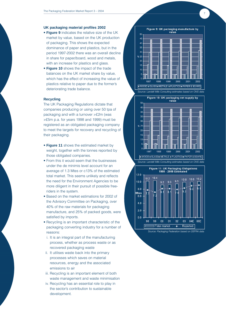# **UK packaging material profiles 2002**

- **Figure 9** indicates the relative size of the UK market by value, based on the UK production of packaging. This shows the expected dominance of paper and plastics, but in the period 1997-2002 there was an overall decline in share for paper/board, wood and metals, with an increase for plastics and glass.
- **Figure 10** shows the impact of the trade balances on the UK market share by value, which has the effect of increasing the value of plastics relative to paper due to the former's deteriorating trade balance.

## **Recycling**

The UK Packaging Regulations dictate that companies producing or using over 50 tpa of packaging and with a turnover >£2m (was >£5m p.a. for years 1998 and 1999) must be registered as an obligated packaging company to meet the targets for recovery and recycling of their packaging.

- **Figure 11** shows the estimated market by weight, together with the tonnes reported by those obligated companies.
- From this it would seem that the businesses under the de minimis level account for an average of 1.3 Mtes or c13% of the estimated total market. This seems unlikely and reflects the need for the Environment Agencies to be more diligent in their pursuit of possible freeriders in the system.
- Based on the market estimations for 2002 of the Advisory Committee on Packaging, over 40% of the raw materials for packaging manufacture, and 25% of packed goods, were satisfied by imports.
- Recycling is an important characteristic of the packaging converting industry for a number of reasons:
	- i. It is an integral part of the manufacturing process, whether as process waste or as recovered packaging waste
- ii. It utilises waste back into the primary processes which saves on material resources, energy and the associated emissions to air
- iii. Recycling is an important element of both waste management and waste minimisation
- iv. Recycling has an essential role to play in the sector's contribution to sustainable development.



7





*Source: Packaging Federation based on DEFRA data*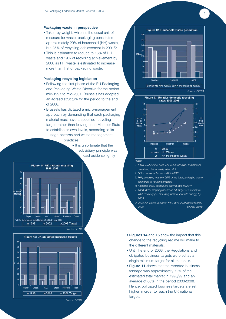#### **Packaging waste in perspective**

- Taken by weight, which is the usual unit of measure for waste, packaging constitutes approximately 20% of household (HH) waste, but 25% of recycling achievement in 2001/2.
- This is estimated to reduce to 18% of HH waste and 19% of recycling achievement by 2008 as HH waste is estimated to increase more than that of packaging waste.

## **Packaging recycling legislation**

- Following the first phase of the EU Packaging and Packaging Waste Directive for the period mid-1997 to mid-2001, Brussels has adopted an agreed structure for the period to the end of 2008.
- Brussels has dictated a micro-management approach by demanding that each packaging material must have a specified recycling target, rather than leaving each Member State to establish its own levels, according to its usage patterns and waste management practices.

• It is unfortunate that the subsidiary principle was cast aside so lightly.







8



*Notes:*

- *i. MSW = Municipal solid waste (households, commercial premises, civic amenity sites, etc)*
- *ii. HH = households only = 89% MSW*
- *iii. HH packaging waste = 55% of the total packaging waste ending up in household waste*
- *iv. Assumes 2.5% compound growth rate in MSW*
- *v. 2008 MSW recycling based on LA target of a minimum 40% recovery (i.e. including incineration with energy) by 2005.*
- *vi. 2008 HH waste based on min. 25% LA recycling rate by 2005 Source: DEFRA*
- **Figures 14** and **15** show the impact that this change to the recycling regime will make to the different materials.
- Until the end of 2003, the Regulations and obligated business targets were set as a single minimum target for all materials.
- **Figure 11** shows that the reported business tonnage was approximately 72% of the estimated total market in 1998/99 and an average of 86% in the period 2000-2008. Hence, obligated business targets are set higher in order to reach the UK national targets.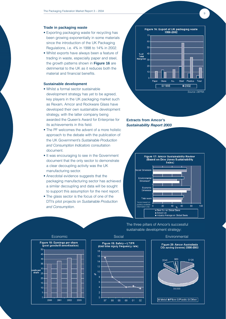## **Trade in packaging waste**

- Exporting packaging waste for recycling has been growing exponentially in some materials since the introduction of the UK Packaging Regulations, i.e. 4% in 1998 to 14% in 2002.
- Whilst exports have always been a feature of trading in waste, especially paper and steel, the growth patterns shown in **Figure 16** are detrimental to the UK as it reduces both the material and financial benefits.

# **Sustainable development**

- Whilst a formal sector sustainable development strategy has yet to be agreed, key players in the UK packaging market such as Rexam, Amcor and Rockware Glass have developed their own sustainable development strategy, with the latter company being awarded the Queen's Award for Enterprise for its achievements in this field.
- The PF welcomes the advent of a more holistic approach to the debate with the publication of the UK Government's *Sustainable Production and Consumption Indicators* consultation document.
- It was encouraging to see in the Government document that the only sector to demonstrate a clear decoupling activity was the UK manufacturing sector.
- Anecdotal evidence suggests that the packaging manufacturing sector has achieved a similar decoupling and data will be sought to support this assumption for the next report.
- The glass sector is the focus of one of the DTI's pilot projects on *Sustainable Production and Consumption*.



 $\alpha$ 

**Extracts from Amcor's**  *Sustainability Report 2003*



The three pillars of Amcor's successful sustainable development strategy:





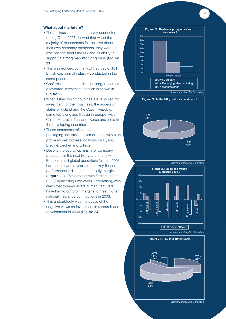### **What about the future?**

- The business confidence survey conducted during Q4 of 2003 showed that whilst the majority of respondents felt positive about their own company prospects, they were far less positive about the UK and its ability to support a strong manufacturing base (**Figure 21**).
- This was echoed by the MORI survey of 101 British captains of industry conducted in the same period.
- Confirmation that the UK is no longer seen as a favoured investment location is shown in **Figure 22**.
- When asked which countries are favoured for investment for their business, the accession states of Poland and the Czech Republic came top alongside Russia in Europe; with China, Malaysia, Thailand, Korea and India in the developing countries.
- These comments reflect those of the packaging industry's customer base, with high profile moves to these locations by Dyson, Black & Decker and Gillette.
- Despite the overall optimism for company prospects in the next two years, many with European and global operations felt that 2003 had been a worse year for most key financial performance indicators, especially margins (**Figure 23**). This concurs with findings of the EEF (Engineering Employers' Federation), who claim that three-quarters of manufacturers have had to cut profit margins to meet higher national insurance contributions in 2003.
- This undoubtedly was the cause of the negative views on investment in research and development in 2004 (**Figure 24**).







 $-10$ 





*Source: Landell Mills Consulting*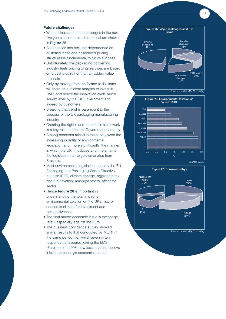# **Future challenges**

- When asked about the challenges in the next five years, those ranked as critical are shown in **Figure 25**.
- As a service industry, the dependence on customer base and associated pricing structures is fundamental to future success.
- Unfortunately, the packaging converting industry feels pricing of its services are based on a cost-plus rather than an added-value rationale.
- Only by moving from the former to the latter will there be sufficient margins to invest in R&D, and hence the innovation cycle much sought after by the UK Government and indeed by customers.
- Breaking that trend is paramount to the success of the UK packaging manufacturing industry.
- Creating the right macro-economic framework is a key role that central Government can play.
- Among concerns raised in the survey were the increasing quantity of environmental legislation and, more significantly, the manner in which the UK introduces and implements the legislation that largely emanates from Brussels.
- Most environmental legislation, not only the EU Packaging and Packaging Waste Directive, but also IPPC, climate change, aggregate tax, and fuel taxation, amongst others, affect the sector.
- Hence **Figure 26** is important in understanding the total impact of environmental taxation on the UK's macroeconomic climate for investment and competitiveness.
- The final macro-economic issue is exchange rate – especially against the Euro.
- The business confidence survey showed similar results to that conducted by MORI in the same period, i.e. whilst seven in ten respondents favoured joining the EMS (Eurozone) in 1998, now less than half believe it is in the country's economic interest.